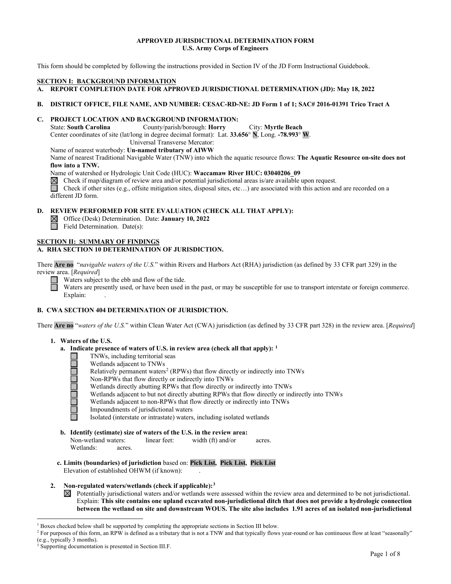#### **APPROVED JURISDICTIONAL DETERMINATION FORM U.S. Army Corps of Engineers**

This form should be completed by following the instructions provided in Section IV of the JD Form Instructional Guidebook.

#### **SECTION I: BACKGROUND INFORMATION**

- **A. REPORT COMPLETION DATE FOR APPROVED JURISDICTIONAL DETERMINATION (JD): May 18, 2022**
- **B. DISTRICT OFFICE, FILE NAME, AND NUMBER: CESAC-RD-NE: JD Form 1 of 1; SAC# 2016-01391 Trico Tract A**

## **C. PROJECT LOCATION AND BACKGROUND INFORMATION:**

State: **South Carolina** County/parish/borough: **Horry** City: **Myrtle Beach**

Center coordinates of site (lat/long in degree decimal format): Lat. **33.656**° **N**, Long. **-78.993**° **W**.

Universal Transverse Mercator:

#### Name of nearest waterbody: **Un-named tributary of AIWW**

Name of nearest Traditional Navigable Water (TNW) into which the aquatic resource flows: **The Aquatic Resource on-site does not flow into a TNW.**

Name of watershed or Hydrologic Unit Code (HUC): **Waccamaw River HUC: 03040206\_09**

 $\boxtimes$ Check if map/diagram of review area and/or potential jurisdictional areas is/are available upon request.

 $\Box$ Check if other sites (e.g., offsite mitigation sites, disposal sites, etc…) are associated with this action and are recorded on a different JD form.

# **D. REVIEW PERFORMED FOR SITE EVALUATION (CHECK ALL THAT APPLY):**<br>△ Office (Desk) Determination. Date: **January 10, 2022**<br>□ Field Determination. Date(s):

Office (Desk) Determination. Date: **January 10, 2022**

Field Determination. Date(s):

#### **SECTION II: SUMMARY OF FINDINGS A. RHA SECTION 10 DETERMINATION OF JURISDICTION.**

There **Are no** "*navigable waters of the U.S.*" within Rivers and Harbors Act (RHA) jurisdiction (as defined by 33 CFR part 329) in the review area. [*Required*]

Waters subject to the ebb and flow of the tide.

Waters are presently used, or have been used in the past, or may be susceptible for use to transport interstate or foreign commerce. Explain:

### **B. CWA SECTION 404 DETERMINATION OF JURISDICTION.**

There **Are no** "*waters of the U.S.*" within Clean Water Act (CWA) jurisdiction (as defined by 33 CFR part 328) in the review area. [*Required*]

#### **1. Waters of the U.S.**

- **a. Indicate presence of waters of U.S. in review area (check all that apply): [1](#page-0-0)**
	- **TNWs, including territorial seas** 
		- Wetlands adjacent to TNWs
		- Relatively permanent waters<sup>2</sup> (RPWs) that flow directly or indirectly into TNWs
		- Non-RPWs that flow directly or indirectly into TNWs
		- Wetlands directly abutting RPWs that flow directly or indirectly into TNWs
		- Wetlands adjacent to but not directly abutting RPWs that flow directly or indirectly into TNWs
		- Wetlands adjacent to non-RPWs that flow directly or indirectly into TNWs
		- Impoundments of jurisdictional waters
		- Isolated (interstate or intrastate) waters, including isolated wetlands
- **b. Identify (estimate) size of waters of the U.S. in the review area:** Non-wetland waters: linear feet: width (ft) and/or acres. Wetlands: acres.
- **c. Limits (boundaries) of jurisdiction** based on: **Pick List, Pick List, Pick List** Elevation of established OHWM (if known):.

#### **2. Non-regulated waters/wetlands (check if applicable):[3](#page-0-2)**

 $\boxtimes$  Potentially jurisdictional waters and/or wetlands were assessed within the review area and determined to be not jurisdictional. Explain: **This site contains one upland excavated non-jurisdictional ditch that does not provide a hydrologic connection between the wetland on site and downstream WOUS. The site also includes 1.91 acres of an isolated non-jurisdictional** 

<span id="page-0-0"></span><sup>&</sup>lt;sup>1</sup> Boxes checked below shall be supported by completing the appropriate sections in Section III below.

<span id="page-0-1"></span><sup>&</sup>lt;sup>2</sup> For purposes of this form, an RPW is defined as a tributary that is not a TNW and that typically flows year-round or has continuous flow at least "seasonally" (e.g., typically 3 months).

<span id="page-0-2"></span><sup>&</sup>lt;sup>3</sup> Supporting documentation is presented in Section III.F.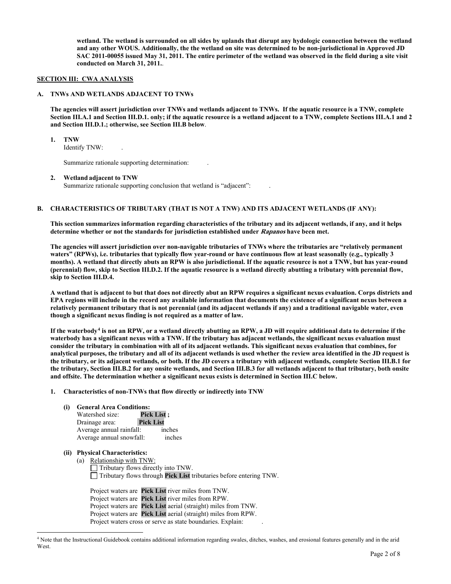**wetland. The wetland is surrounded on all sides by uplands that disrupt any hydologic connection between the wetland and any other WOUS. Additionally, the the wetland on site was determined to be non-jurisdictional in Approved JD SAC 2011-00055 issued May 31, 2011. The entire perimeter of the wetland was observed in the field during a site visit conducted on March 31, 2011.**.

#### **SECTION III: CWA ANALYSIS**

#### **A. TNWs AND WETLANDS ADJACENT TO TNWs**

**The agencies will assert jurisdiction over TNWs and wetlands adjacent to TNWs. If the aquatic resource is a TNW, complete Section III.A.1 and Section III.D.1. only; if the aquatic resource is a wetland adjacent to a TNW, complete Sections III.A.1 and 2 and Section III.D.1.; otherwise, see Section III.B below**.

 **1. TNW** 

Identify TNW: .

Summarize rationale supporting determination:.

#### **2. Wetland adjacent to TNW**

Summarize rationale supporting conclusion that wetland is "adjacent":

#### **B. CHARACTERISTICS OF TRIBUTARY (THAT IS NOT A TNW) AND ITS ADJACENT WETLANDS (IF ANY):**

 **This section summarizes information regarding characteristics of the tributary and its adjacent wetlands, if any, and it helps determine whether or not the standards for jurisdiction established under Rapanos have been met.** 

 **The agencies will assert jurisdiction over non-navigable tributaries of TNWs where the tributaries are "relatively permanent waters" (RPWs), i.e. tributaries that typically flow year-round or have continuous flow at least seasonally (e.g., typically 3 months). A wetland that directly abuts an RPW is also jurisdictional. If the aquatic resource is not a TNW, but has year-round (perennial) flow, skip to Section III.D.2. If the aquatic resource is a wetland directly abutting a tributary with perennial flow, skip to Section III.D.4.** 

**A wetland that is adjacent to but that does not directly abut an RPW requires a significant nexus evaluation. Corps districts and EPA regions will include in the record any available information that documents the existence of a significant nexus between a relatively permanent tributary that is not perennial (and its adjacent wetlands if any) and a traditional navigable water, even though a significant nexus finding is not required as a matter of law.** 

**If the waterbody[4](#page-1-0) is not an RPW, or a wetland directly abutting an RPW, a JD will require additional data to determine if the waterbody has a significant nexus with a TNW. If the tributary has adjacent wetlands, the significant nexus evaluation must consider the tributary in combination with all of its adjacent wetlands. This significant nexus evaluation that combines, for analytical purposes, the tributary and all of its adjacent wetlands is used whether the review area identified in the JD request is the tributary, or its adjacent wetlands, or both. If the JD covers a tributary with adjacent wetlands, complete Section III.B.1 for the tributary, Section III.B.2 for any onsite wetlands, and Section III.B.3 for all wetlands adjacent to that tributary, both onsite and offsite. The determination whether a significant nexus exists is determined in Section III.C below.** 

#### **1. Characteristics of non-TNWs that flow directly or indirectly into TNW**

#### **(i) General Area Conditions:**

| Watershed size:          | <b>Pick List</b> ; |
|--------------------------|--------------------|
| Drainage area:           | <b>Pick List</b>   |
| Average annual rainfall: | inches             |
| Average annual snowfall: | inches             |

 **(ii) Physical Characteristics:** 

 (a) Relationship with TNW:  $\Box$  Tributary flows directly into TNW. Tributary flows through **Pick List** tributaries before entering TNW.

Project waters are **Pick List** river miles from TNW. Project waters are **Pick List** river miles from RPW. Project waters are **Pick List** aerial (straight) miles from TNW. Project waters are **Pick List** aerial (straight) miles from RPW. Project waters cross or serve as state boundaries. Explain:.

<span id="page-1-0"></span><sup>4</sup> Note that the Instructional Guidebook contains additional information regarding swales, ditches, washes, and erosional features generally and in the arid West.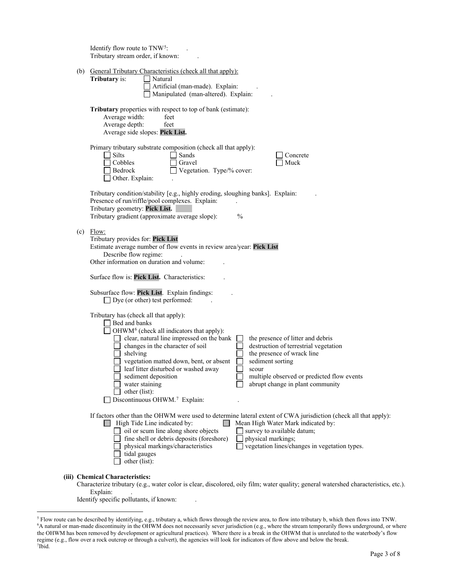|     | Identify flow route to TNW <sup>5</sup> :<br>Tributary stream order, if known:                                                                                                                                                                                                                                                                                                                                                                                                                                                                                                                                                   |
|-----|----------------------------------------------------------------------------------------------------------------------------------------------------------------------------------------------------------------------------------------------------------------------------------------------------------------------------------------------------------------------------------------------------------------------------------------------------------------------------------------------------------------------------------------------------------------------------------------------------------------------------------|
|     | (b) General Tributary Characteristics (check all that apply):<br>Tributary is:<br>Natural<br>Artificial (man-made). Explain:<br>Manipulated (man-altered). Explain:                                                                                                                                                                                                                                                                                                                                                                                                                                                              |
|     | Tributary properties with respect to top of bank (estimate):<br>Average width:<br>feet<br>Average depth:<br>feet<br>Average side slopes: Pick List.                                                                                                                                                                                                                                                                                                                                                                                                                                                                              |
|     | Primary tributary substrate composition (check all that apply):<br>Silts<br>Sands<br>Concrete<br>Cobbles<br>Gravel<br>Muck<br>Vegetation. Type/% cover:<br>Bedrock<br>Other. Explain:                                                                                                                                                                                                                                                                                                                                                                                                                                            |
|     | Tributary condition/stability [e.g., highly eroding, sloughing banks]. Explain:<br>Presence of run/riffle/pool complexes. Explain:<br>Tributary geometry: Pick List.<br>Tributary gradient (approximate average slope):<br>$\%$                                                                                                                                                                                                                                                                                                                                                                                                  |
| (c) | Flow:<br>Tributary provides for: Pick List<br>Estimate average number of flow events in review area/year: Pick List<br>Describe flow regime:<br>Other information on duration and volume:                                                                                                                                                                                                                                                                                                                                                                                                                                        |
|     | Surface flow is: Pick List. Characteristics:                                                                                                                                                                                                                                                                                                                                                                                                                                                                                                                                                                                     |
|     | Subsurface flow: Pick List. Explain findings:<br>Dye (or other) test performed:                                                                                                                                                                                                                                                                                                                                                                                                                                                                                                                                                  |
|     | Tributary has (check all that apply):<br>Bed and banks<br>OHWM <sup>6</sup> (check all indicators that apply):<br>the presence of litter and debris<br>clear, natural line impressed on the bank<br>changes in the character of soil<br>destruction of terrestrial vegetation<br>shelving<br>the presence of wrack line<br>vegetation matted down, bent, or absent<br>sediment sorting<br>leaf litter disturbed or washed away<br>scour<br>multiple observed or predicted flow events<br>sediment deposition<br>water staining<br>abrupt change in plant community<br>other (list):<br>Discontinuous OHWM. <sup>7</sup> Explain: |
|     | If factors other than the OHWM were used to determine lateral extent of CWA jurisdiction (check all that apply):<br>$\Box$ High Tide Line indicated by:<br>Mean High Water Mark indicated by:<br>oil or scum line along shore objects<br>survey to available datum;<br>fine shell or debris deposits (foreshore)<br>physical markings;<br>physical markings/characteristics<br>vegetation lines/changes in vegetation types.<br>tidal gauges<br>other (list):                                                                                                                                                                    |
|     | (iii) Chemical Characteristics:<br>Characterize tributary (e.g., water color is clear, discolored, oily film; water quality; general watershed characteristics, etc.).<br>Explain:                                                                                                                                                                                                                                                                                                                                                                                                                                               |

Identify specific pollutants, if known: .

<span id="page-2-2"></span><span id="page-2-1"></span><span id="page-2-0"></span><sup>&</sup>lt;sup>5</sup> Flow route can be described by identifying, e.g., tributary a, which flows through the review area, to flow into tributary b, which then flows into TNW.<br><sup>6</sup>A natural or man-made discontinuity in the OHWM does not nece the OHWM has been removed by development or agricultural practices). Where there is a break in the OHWM that is unrelated to the waterbody's flow regime (e.g., flow over a rock outcrop or through a culvert), the agencies will look for indicators of flow above and below the break. 7 Ibid.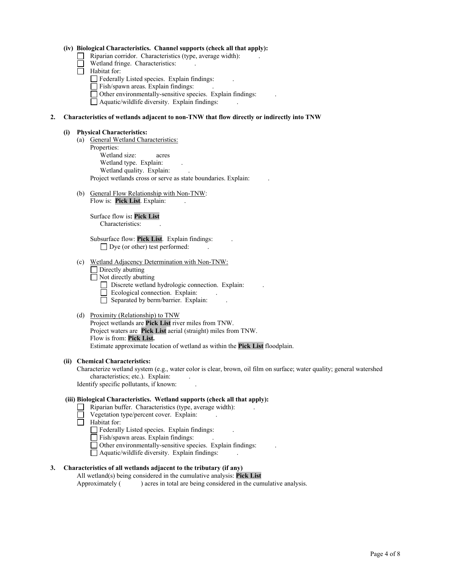#### **(iv) Biological Characteristics. Channel supports (check all that apply):**

- Riparian corridor. Characteristics (type, average width):.
	- Wetland fringe. Characteristics:.
- Habitat for:
	- Federally Listed species. Explain findings:.
	- Fish/spawn areas. Explain findings:.
	- Other environmentally-sensitive species. Explain findings:.

Aquatic/wildlife diversity. Explain findings:.

#### **2. Characteristics of wetlands adjacent to non-TNW that flow directly or indirectly into TNW**

#### **(i) Physical Characteristics:**

- (a) General Wetland Characteristics: Properties: Wetland size:acres Wetland type. Explain:. Wetland quality. Explain:. Project wetlands cross or serve as state boundaries. Explain: .
- (b) General Flow Relationship with Non-TNW: Flow is: Pick List. Explain:

 Surface flow is**: Pick List**  Characteristics: .

 Subsurface flow: **Pick List**. Explain findings:. □ Dye (or other) test performed:

- (c) Wetland Adjacency Determination with Non-TNW:
	- **Directly abutting**
	- $\Box$  Not directly abutting
		- Discrete wetland hydrologic connection. Explain:.
		- Ecological connection. Explain:.
		- $\Box$  Separated by berm/barrier. Explain:
- (d) Proximity (Relationship) to TNW

Project wetlands are **Pick List** river miles from TNW. Project waters are **Pick List** aerial (straight) miles from TNW. Flow is from: **Pick List.** Estimate approximate location of wetland as within the **Pick List** floodplain.

#### **(ii) Chemical Characteristics:**

Characterize wetland system (e.g., water color is clear, brown, oil film on surface; water quality; general watershed characteristics; etc.). Explain:.

Identify specific pollutants, if known: .

#### **(iii) Biological Characteristics. Wetland supports (check all that apply):**

- Riparian buffer. Characteristics (type, average width):.
	- Vegetation type/percent cover. Explain:.
- Habitat for:
	- Federally Listed species. Explain findings:.
	- Fish/spawn areas. Explain findings:.
	- Other environmentally-sensitive species. Explain findings:.
	- Aquatic/wildlife diversity. Explain findings:.

#### **3. Characteristics of all wetlands adjacent to the tributary (if any)**

All wetland(s) being considered in the cumulative analysis: **Pick List**<br>Approximately () acres in total are being considered in the cun ) acres in total are being considered in the cumulative analysis.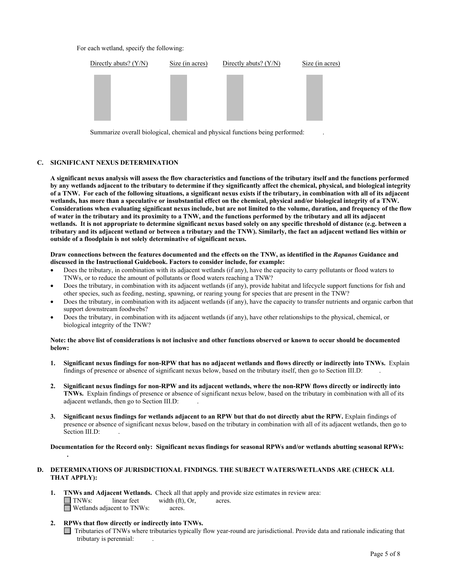For each wetland, specify the following:



Summarize overall biological, chemical and physical functions being performed: .

#### **C. SIGNIFICANT NEXUS DETERMINATION**

**A significant nexus analysis will assess the flow characteristics and functions of the tributary itself and the functions performed by any wetlands adjacent to the tributary to determine if they significantly affect the chemical, physical, and biological integrity of a TNW. For each of the following situations, a significant nexus exists if the tributary, in combination with all of its adjacent wetlands, has more than a speculative or insubstantial effect on the chemical, physical and/or biological integrity of a TNW. Considerations when evaluating significant nexus include, but are not limited to the volume, duration, and frequency of the flow of water in the tributary and its proximity to a TNW, and the functions performed by the tributary and all its adjacent wetlands. It is not appropriate to determine significant nexus based solely on any specific threshold of distance (e.g. between a tributary and its adjacent wetland or between a tributary and the TNW). Similarly, the fact an adjacent wetland lies within or outside of a floodplain is not solely determinative of significant nexus.** 

#### **Draw connections between the features documented and the effects on the TNW, as identified in the** *Rapanos* **Guidance and discussed in the Instructional Guidebook. Factors to consider include, for example:**

- Does the tributary, in combination with its adjacent wetlands (if any), have the capacity to carry pollutants or flood waters to TNWs, or to reduce the amount of pollutants or flood waters reaching a TNW?
- Does the tributary, in combination with its adjacent wetlands (if any), provide habitat and lifecycle support functions for fish and other species, such as feeding, nesting, spawning, or rearing young for species that are present in the TNW?
- Does the tributary, in combination with its adjacent wetlands (if any), have the capacity to transfer nutrients and organic carbon that support downstream foodwebs?
- Does the tributary, in combination with its adjacent wetlands (if any), have other relationships to the physical, chemical, or biological integrity of the TNW?

#### **Note: the above list of considerations is not inclusive and other functions observed or known to occur should be documented below:**

- **1. Significant nexus findings for non-RPW that has no adjacent wetlands and flows directly or indirectly into TNWs.** Explain findings of presence or absence of significant nexus below, based on the tributary itself, then go to Section III.D:.
- **2. Significant nexus findings for non-RPW and its adjacent wetlands, where the non-RPW flows directly or indirectly into TNWs.** Explain findings of presence or absence of significant nexus below, based on the tributary in combination with all of its adjacent wetlands, then go to Section III.D: .
- **3. Significant nexus findings for wetlands adjacent to an RPW but that do not directly abut the RPW.** Explain findings of presence or absence of significant nexus below, based on the tributary in combination with all of its adjacent wetlands, then go to Section III.D:

 **Documentation for the Record only: Significant nexus findings for seasonal RPWs and/or wetlands abutting seasonal RPWs:** 

#### **D. DETERMINATIONS OF JURISDICTIONAL FINDINGS. THE SUBJECT WATERS/WETLANDS ARE (CHECK ALL THAT APPLY):**

- **1. TNWs and Adjacent Wetlands.** Check all that apply and provide size estimates in review area:<br>
TNWs: linear feet width (ft). Or. acres.  $width (ft)$ , Or, acres. **N** Wetlands adjacent to TNWs: acres.
- **2. RPWs that flow directly or indirectly into TNWs.**

 **.** 

 Tributaries of TNWs where tributaries typically flow year-round are jurisdictional. Provide data and rationale indicating that tributary is perennial: .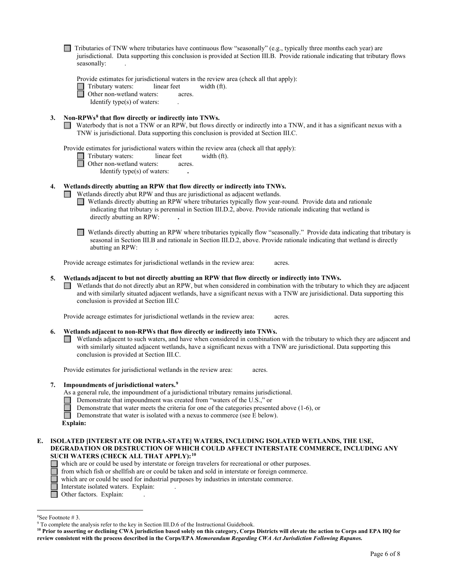$\Box$  Tributaries of TNW where tributaries have continuous flow "seasonally" (e.g., typically three months each year) are jurisdictional. Data supporting this conclusion is provided at Section III.B. Provide rationale indicating that tributary flows seasonally:.

Provide estimates for jurisdictional waters in the review area (check all that apply):

Tributary waters:linear feetwidth (ft).

Other non-wetland waters:acres.

Identify type(s) of waters: .

#### **3. Non-RPWs[8](#page-5-0) that flow directly or indirectly into TNWs.**

Waterbody that is not a TNW or an RPW, but flows directly or indirectly into a TNW, and it has a significant nexus with a TNW is jurisdictional. Data supporting this conclusion is provided at Section III.C.

Provide estimates for jurisdictional waters within the review area (check all that apply):

Tributary waters:linear feetwidth (ft).

Other non-wetland waters:acres.

Identify type(s) of waters: **.** 

#### **4. Wetlands directly abutting an RPW that flow directly or indirectly into TNWs.**

**I** Wetlands directly abut RPW and thus are jurisdictional as adjacent wetlands.

- Wetlands directly abutting an RPW where tributaries typically flow year-round. Provide data and rationale indicating that tributary is perennial in Section III.D.2, above. Provide rationale indicating that wetland is directly abutting an RPW: **.**
- Wetlands directly abutting an RPW where tributaries typically flow "seasonally." Provide data indicating that tributary is seasonal in Section III.B and rationale in Section III.D.2, above. Provide rationale indicating that wetland is directly abutting an RPW: .

Provide acreage estimates for jurisdictional wetlands in the review area:acres.

#### **5. Wetlands adjacent to but not directly abutting an RPW that flow directly or indirectly into TNWs.**

 $\Box$  Wetlands that do not directly abut an RPW, but when considered in combination with the tributary to which they are adjacent and with similarly situated adjacent wetlands, have a significant nexus with a TNW are jurisidictional. Data supporting this conclusion is provided at Section III.C

Provide acreage estimates for jurisdictional wetlands in the review area:acres.

#### **6. Wetlands adjacent to non-RPWs that flow directly or indirectly into TNWs.**

Wetlands adjacent to such waters, and have when considered in combination with the tributary to which they are adjacent and with similarly situated adjacent wetlands, have a significant nexus with a TNW are jurisdictional. Data supporting this conclusion is provided at Section III.C.

Provide estimates for jurisdictional wetlands in the review area:acres.

#### **7. Impoundments of jurisdictional waters. [9](#page-5-1)**

As a general rule, the impoundment of a jurisdictional tributary remains jurisdictional.

- Demonstrate that impoundment was created from "waters of the U.S.," or
- Demonstrate that water meets the criteria for one of the categories presented above (1-6), or<br>Demonstrate that water is isolated with a nexus to commerce (see E below).

Demonstrate that water is isolated with a nexus to commerce (see E below).

#### **E. ISOLATED [INTERSTATE OR INTRA-STATE] WATERS, INCLUDING ISOLATED WETLANDS, THE USE, DEGRADATION OR DESTRUCTION OF WHICH COULD AFFECT INTERSTATE COMMERCE, INCLUDING ANY SUCH WATERS (CHECK ALL THAT APPLY):[10](#page-5-2)**

which are or could be used by interstate or foreign travelers for recreational or other purposes.

from which fish or shellfish are or could be taken and sold in interstate or foreign commerce.

which are or could be used for industrial purposes by industries in interstate commerce.

- Interstate isolated waters.Explain: .
- Other factors. Explain:

<span id="page-5-0"></span><sup>&</sup>lt;sup>8</sup>See Footnote #3.

<span id="page-5-1"></span> $9$  To complete the analysis refer to the key in Section III.D.6 of the Instructional Guidebook.

<span id="page-5-2"></span>**<sup>10</sup> Prior to asserting or declining CWA jurisdiction based solely on this category, Corps Districts will elevate the action to Corps and EPA HQ for review consistent with the process described in the Corps/EPA** *Memorandum Regarding CWA Act Jurisdiction Following Rapanos.*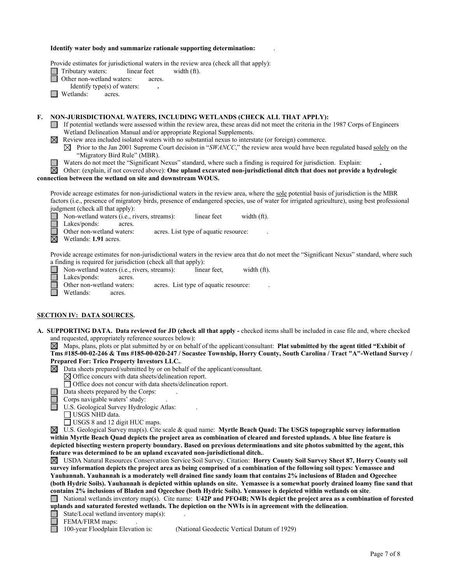#### **Identify water body and summarize rationale supporting determination:** .

Provide estimates for jurisdictional waters in the review area (check all that apply):

Tributary waters:linear feetwidth (ft).

Other non-wetland waters: acres.

Identify type(s) of waters: **.** 

**Netlands:** acres.

#### **F. NON-JURISDICTIONAL WATERS, INCLUDING WETLANDS (CHECK ALL THAT APPLY):**

- $\Box$  If potential wetlands were assessed within the review area, these areas did not meet the criteria in the 1987 Corps of Engineers Wetland Delineation Manual and/or appropriate Regional Supplements.
- $\boxtimes$  Review area included isolated waters with no substantial nexus to interstate (or foreign) commerce.
	- $\boxtimes$  Prior to the Jan 2001 Supreme Court decision in "*SWANCC*," the review area would have been regulated based solely on the "Migratory Bird Rule" (MBR).
	- Waters do not meet the "Significant Nexus" standard, where such a finding is required for jurisdiction. Explain: **.**

#### 岗 Other: (explain, if not covered above): **One upland excavated non-jurisdictional ditch that does not provide a hydrologic connection between the wetland on site and downstream WOUS.**

Provide acreage estimates for non-jurisdictional waters in the review area, where the sole potential basis of jurisdiction is the MBR factors (i.e., presence of migratory birds, presence of endangered species, use of water for irrigated agriculture), using best professional judgment (check all that apply):

Non-wetland waters (i.e., rivers, streams):linear feetwidth (ft).

Lakes/ponds: acres.

Other non-wetland waters: acres. List type of aquatic resource:.

 $\overline{\boxtimes}$  Wetlands: **1.91** acres.

Provide acreage estimates for non-jurisdictional waters in the review area that do not meet the "Significant Nexus" standard, where such a finding is required for jurisdiction (check all that apply):

Non-wetland waters (i.e., rivers, streams):linear feet,width (ft). ⊔ Lakes/ponds: acres.<br>Other non-wetland waters: acres. List type of aquatic resource: Wetlands: acres.

#### **SECTION IV: DATA SOURCES.**

- **A. SUPPORTING DATA. Data reviewed for JD (check all that apply** checked items shall be included in case file and, where checked and requested, appropriately reference sources below):
	- Maps, plans, plots or plat submitted by or on behalf of the applicant/consultant: **Plat submitted by the agent titled "Exhibit of Tms #185-00-02-246 & Tms #185-00-020-247 / Socastee Township, Horry County, South Carolina / Tract "A"-Wetland Survey / Prepared For: Trico Property Investors LLC.**.
	- Data sheets prepared/submitted by or on behalf of the applicant/consultant.  $\boxtimes$ 
		- $\boxtimes$  Office concurs with data sheets/delineation report.
		- Office does not concur with data sheets/delineation report.

Data sheets prepared by the Corps: .

Corps navigable waters' study:

U.S. Geological Survey Hydrologic Atlas:

USGS NHD data.

USGS 8 and 12 digit HUC maps.

U.S. Geological Survey map(s). Cite scale & quad name: **Myrtle Beach Quad: The USGS topographic survey information within Myrtle Beach Quad depicts the project area as combination of cleared and forested uplands. A blue line feature is depicted bisecting western property boundary. Based on previous determinations and site photos submitted by the agent, this feature was determined to be an upland excavated non-jurisdictional ditch.**.

USDA Natural Resources Conservation Service Soil Survey. Citation: **Horry County Soil Survey Sheet 87, Horry County soil survey information depicts the project area as being comprised of a combination of the following soil types: Yemassee and Yauhannah. Yauhannah is a moderately well drained fine sandy loam that contains 2% inclusions of Bladen and Ogeechee (both Hydric Soils). Yauhannah is depicted within uplands on site. Yemassee is a somewhat poorly drained loamy fine sand that contains 2% inclusions of Bladen and Ogeechee (both Hydric Soils). Yemassee is depicted within wetlands on site**.

National wetlands inventory map(s). Cite name: **U42P and PFO4B; NWIs depict the project area as a combination of forested uplands and saturated forested wetlands. The depiction on the NWIs is in agreement with the delineation**.

State/Local wetland inventory map(s):.

FEMA/FIRM maps:

100-year Floodplain Elevation is: (National Geodectic Vertical Datum of 1929)